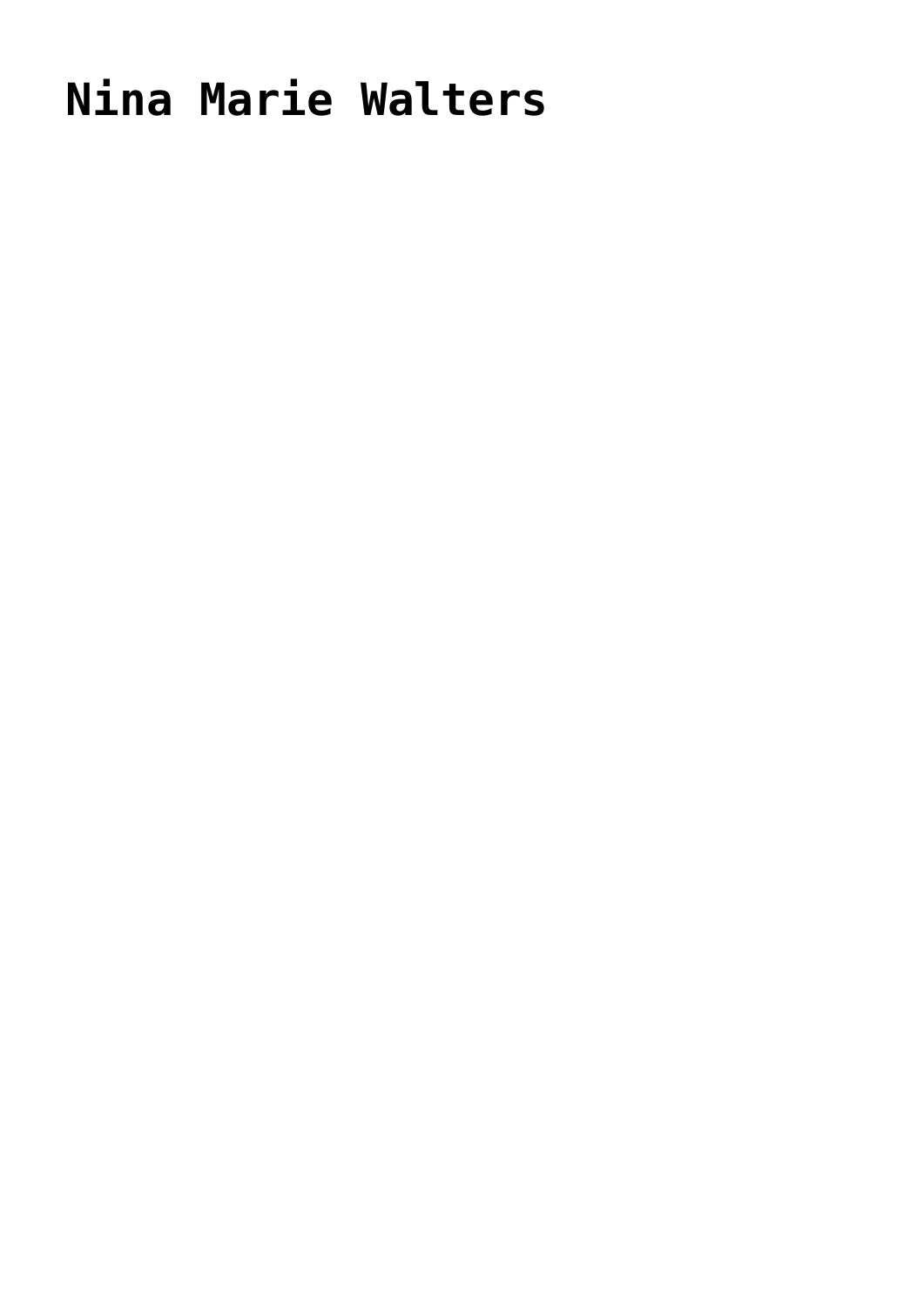## **[Nina Marie Walters](https://hennesseyonline.com/nina-marie-walters/)**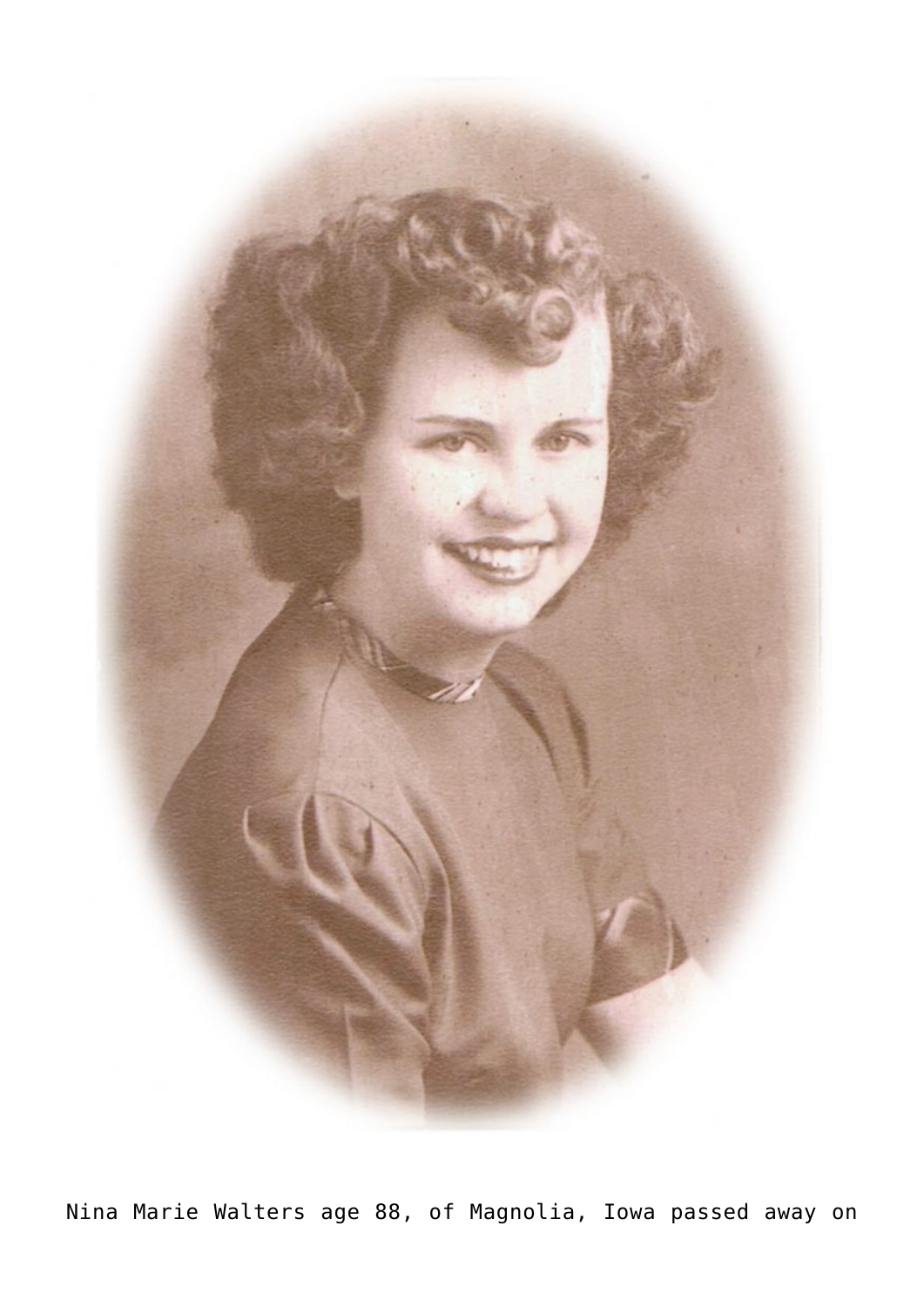

Nina Marie Walters age 88, of Magnolia, Iowa passed away on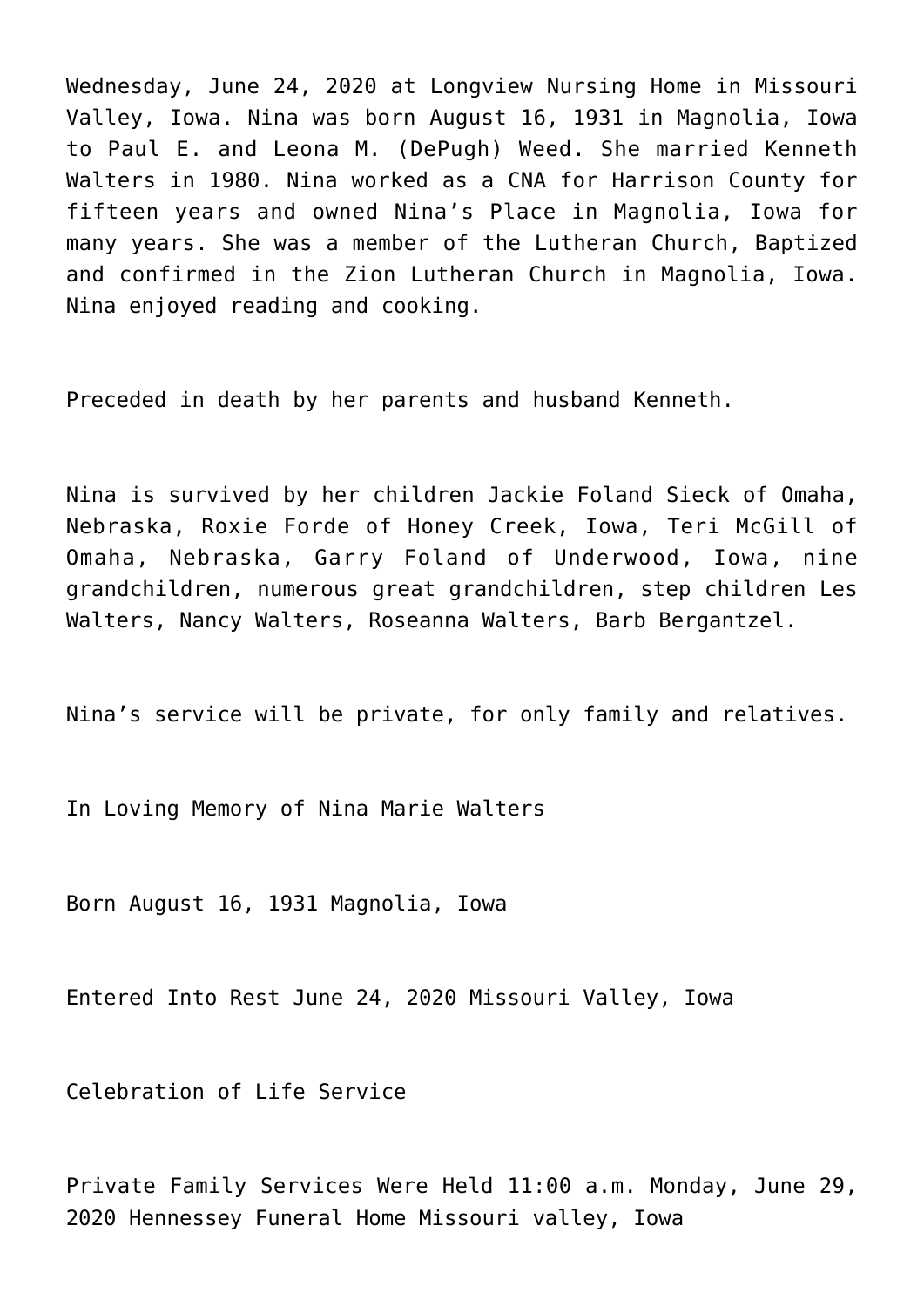Wednesday, June 24, 2020 at Longview Nursing Home in Missouri Valley, Iowa. Nina was born August 16, 1931 in Magnolia, Iowa to Paul E. and Leona M. (DePugh) Weed. She married Kenneth Walters in 1980. Nina worked as a CNA for Harrison County for fifteen years and owned Nina's Place in Magnolia, Iowa for many years. She was a member of the Lutheran Church, Baptized and confirmed in the Zion Lutheran Church in Magnolia, Iowa. Nina enjoyed reading and cooking.

Preceded in death by her parents and husband Kenneth.

Nina is survived by her children Jackie Foland Sieck of Omaha, Nebraska, Roxie Forde of Honey Creek, Iowa, Teri McGill of Omaha, Nebraska, Garry Foland of Underwood, Iowa, nine grandchildren, numerous great grandchildren, step children Les Walters, Nancy Walters, Roseanna Walters, Barb Bergantzel.

Nina's service will be private, for only family and relatives.

In Loving Memory of Nina Marie Walters

Born August 16, 1931 Magnolia, Iowa

Entered Into Rest June 24, 2020 Missouri Valley, Iowa

Celebration of Life Service

Private Family Services Were Held 11:00 a.m. Monday, June 29, 2020 Hennessey Funeral Home Missouri valley, Iowa